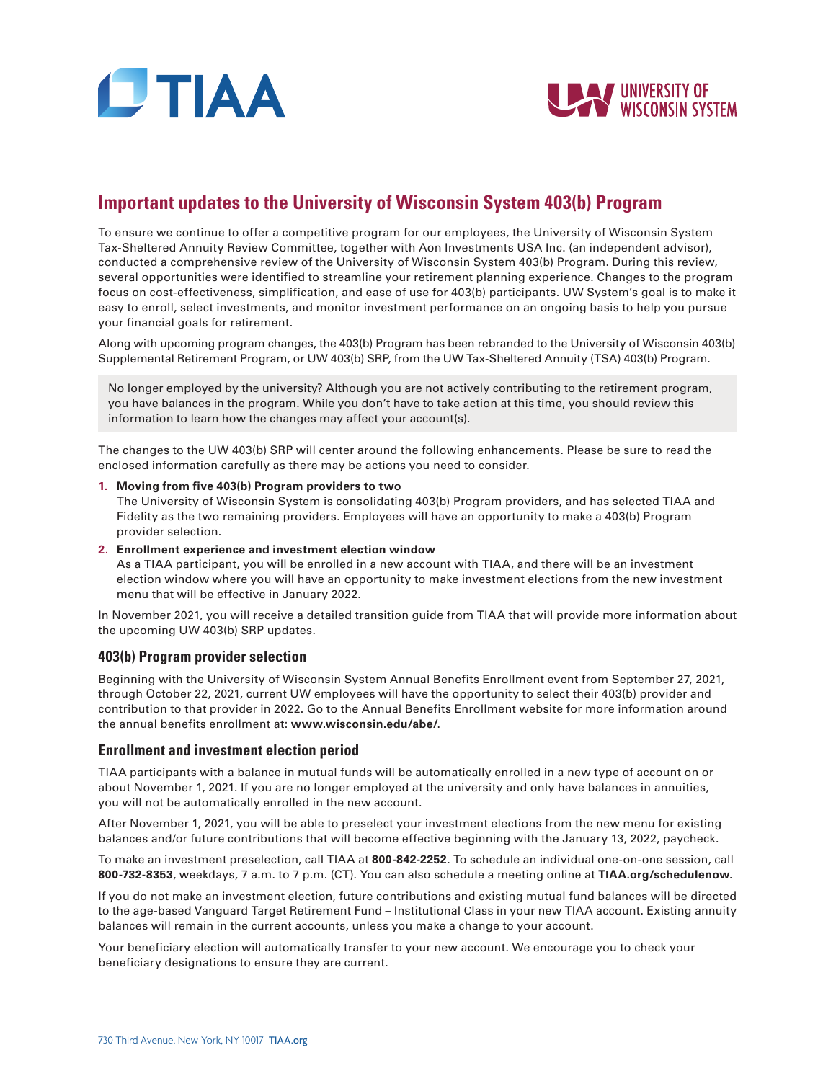



# **Important updates to the University of Wisconsin System 403(b) Program**

To ensure we continue to offer a competitive program for our employees, the University of Wisconsin System Tax-Sheltered Annuity Review Committee, together with Aon Investments USA Inc. (an independent advisor), conducted a comprehensive review of the University of Wisconsin System 403(b) Program. During this review, several opportunities were identified to streamline your retirement planning experience. Changes to the program focus on cost-effectiveness, simplification, and ease of use for 403(b) participants. UW System's goal is to make it easy to enroll, select investments, and monitor investment performance on an ongoing basis to help you pursue your financial goals for retirement.

Along with upcoming program changes, the 403(b) Program has been rebranded to the University of Wisconsin 403(b) Supplemental Retirement Program, or UW 403(b) SRP, from the UW Tax-Sheltered Annuity (TSA) 403(b) Program.

No longer employed by the university? Although you are not actively contributing to the retirement program, you have balances in the program. While you don't have to take action at this time, you should review this information to learn how the changes may affect your account(s).

The changes to the UW 403(b) SRP will center around the following enhancements. Please be sure to read the enclosed information carefully as there may be actions you need to consider.

#### **1. Moving from five 403(b) Program providers to two**

The University of Wisconsin System is consolidating 403(b) Program providers, and has selected TIAA and Fidelity as the two remaining providers. Employees will have an opportunity to make a 403(b) Program provider selection.

#### **2. Enrollment experience and investment election window**

As a TIAA participant, you will be enrolled in a new account with TIAA, and there will be an investment election window where you will have an opportunity to make investment elections from the new investment menu that will be effective in January 2022.

In November 2021, you will receive a detailed transition guide from TIAA that will provide more information about the upcoming UW 403(b) SRP updates.

## **403(b) Program provider selection**

Beginning with the University of Wisconsin System Annual Benefits Enrollment event from September 27, 2021, through October 22, 2021, current UW employees will have the opportunity to select their 403(b) provider and contribution to that provider in 2022. Go to the Annual Benefits Enrollment website for more information around the annual benefits enrollment at: **www.wisconsin.edu/abe/**.

#### **Enrollment and investment election period**

TIAA participants with a balance in mutual funds will be automatically enrolled in a new type of account on or about November 1, 2021. If you are no longer employed at the university and only have balances in annuities, you will not be automatically enrolled in the new account.

After November 1, 2021, you will be able to preselect your investment elections from the new menu for existing balances and/or future contributions that will become effective beginning with the January 13, 2022, paycheck.

To make an investment preselection, call TIAA at **800-842-2252**. To schedule an individual one-on-one session, call **800-732-8353**, weekdays, 7 a.m. to 7 p.m. (CT). You can also schedule a meeting online at **TIAA.org/schedulenow**.

If you do not make an investment election, future contributions and existing mutual fund balances will be directed to the age-based Vanguard Target Retirement Fund – Institutional Class in your new TIAA account. Existing annuity balances will remain in the current accounts, unless you make a change to your account.

Your beneficiary election will automatically transfer to your new account. We encourage you to check your beneficiary designations to ensure they are current.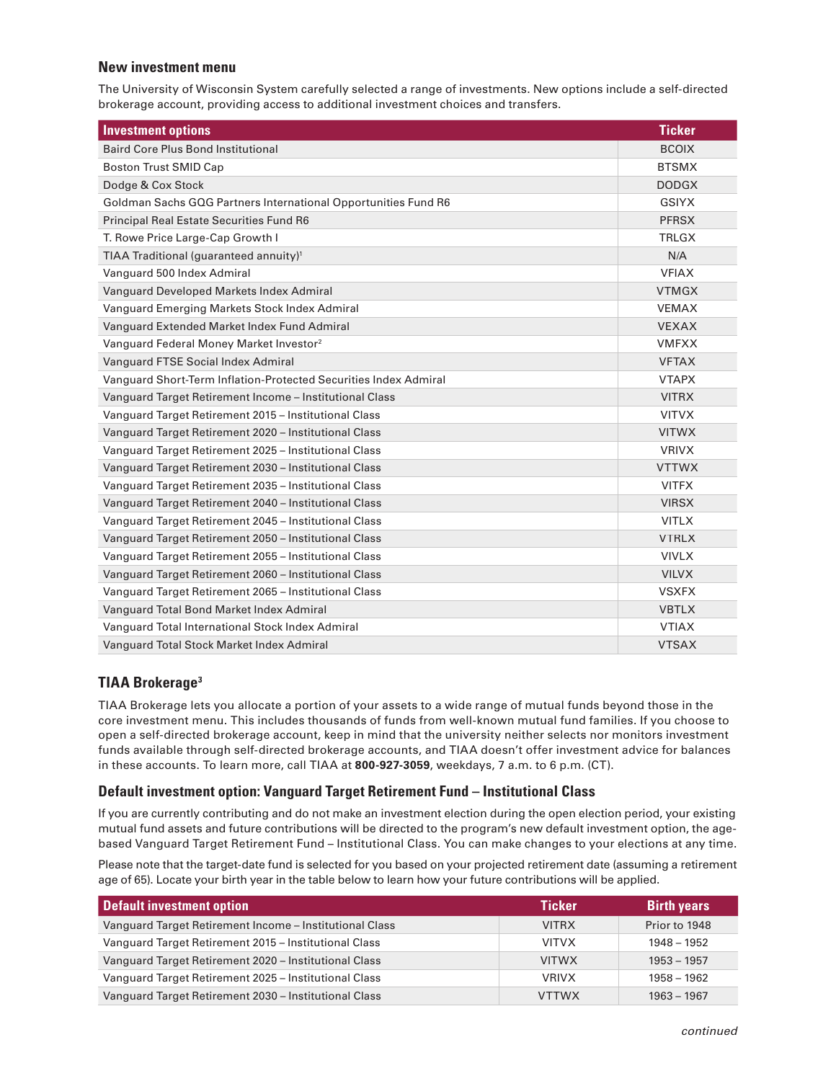## **New investment menu**

The University of Wisconsin System carefully selected a range of investments. New options include a self-directed brokerage account, providing access to additional investment choices and transfers.

| <b>Investment options</b>                                        | <b>Ticker</b> |
|------------------------------------------------------------------|---------------|
| <b>Baird Core Plus Bond Institutional</b>                        | <b>BCOIX</b>  |
| <b>Boston Trust SMID Cap</b>                                     | <b>BTSMX</b>  |
| Dodge & Cox Stock                                                | <b>DODGX</b>  |
| Goldman Sachs GQG Partners International Opportunities Fund R6   | GSIYX         |
| Principal Real Estate Securities Fund R6                         | <b>PFRSX</b>  |
| T. Rowe Price Large-Cap Growth I                                 | <b>TRLGX</b>  |
| TIAA Traditional (guaranteed annuity) <sup>1</sup>               | N/A           |
| Vanguard 500 Index Admiral                                       | <b>VFIAX</b>  |
| Vanguard Developed Markets Index Admiral                         | <b>VTMGX</b>  |
| Vanguard Emerging Markets Stock Index Admiral                    | <b>VEMAX</b>  |
| Vanguard Extended Market Index Fund Admiral                      | <b>VEXAX</b>  |
| Vanguard Federal Money Market Investor <sup>2</sup>              | <b>VMFXX</b>  |
| Vanguard FTSE Social Index Admiral                               | <b>VFTAX</b>  |
| Vanguard Short-Term Inflation-Protected Securities Index Admiral | <b>VTAPX</b>  |
| Vanguard Target Retirement Income - Institutional Class          | <b>VITRX</b>  |
| Vanguard Target Retirement 2015 - Institutional Class            | <b>VITVX</b>  |
| Vanguard Target Retirement 2020 - Institutional Class            | <b>VITWX</b>  |
| Vanguard Target Retirement 2025 - Institutional Class            | <b>VRIVX</b>  |
| Vanguard Target Retirement 2030 - Institutional Class            | <b>VTTWX</b>  |
| Vanguard Target Retirement 2035 - Institutional Class            | <b>VITFX</b>  |
| Vanguard Target Retirement 2040 - Institutional Class            | <b>VIRSX</b>  |
| Vanguard Target Retirement 2045 - Institutional Class            | <b>VITLX</b>  |
| Vanguard Target Retirement 2050 - Institutional Class            | <b>VTRLX</b>  |
| Vanguard Target Retirement 2055 - Institutional Class            | <b>VIVLX</b>  |
| Vanguard Target Retirement 2060 - Institutional Class            | <b>VILVX</b>  |
| Vanguard Target Retirement 2065 - Institutional Class            | <b>VSXFX</b>  |
| Vanguard Total Bond Market Index Admiral                         | <b>VBTLX</b>  |
| Vanguard Total International Stock Index Admiral                 | <b>VTIAX</b>  |
| Vanguard Total Stock Market Index Admiral                        | <b>VTSAX</b>  |

# **TIAA Brokerage3**

TIAA Brokerage lets you allocate a portion of your assets to a wide range of mutual funds beyond those in the core investment menu. This includes thousands of funds from well-known mutual fund families. If you choose to open a self-directed brokerage account, keep in mind that the university neither selects nor monitors investment funds available through self-directed brokerage accounts, and TIAA doesn't offer investment advice for balances in these accounts. To learn more, call TIAA at **800-927-3059**, weekdays, 7 a.m. to 6 p.m. (CT).

## **Default investment option: Vanguard Target Retirement Fund – Institutional Class**

If you are currently contributing and do not make an investment election during the open election period, your existing mutual fund assets and future contributions will be directed to the program's new default investment option, the agebased Vanguard Target Retirement Fund – Institutional Class. You can make changes to your elections at any time.

Please note that the target-date fund is selected for you based on your projected retirement date (assuming a retirement age of 65). Locate your birth year in the table below to learn how your future contributions will be applied.

| <b>Default investment option</b>                        | <b>Ticker</b> | <b>Birth years</b> |
|---------------------------------------------------------|---------------|--------------------|
| Vanguard Target Retirement Income - Institutional Class | <b>VITRX</b>  | Prior to 1948      |
| Vanguard Target Retirement 2015 - Institutional Class   | <b>VITVX</b>  | $1948 - 1952$      |
| Vanguard Target Retirement 2020 - Institutional Class   | <b>VITWX</b>  | $1953 - 1957$      |
| Vanguard Target Retirement 2025 - Institutional Class   | <b>VRIVX</b>  | $1958 - 1962$      |
| Vanguard Target Retirement 2030 - Institutional Class   | <b>VTTWX</b>  | $1963 - 1967$      |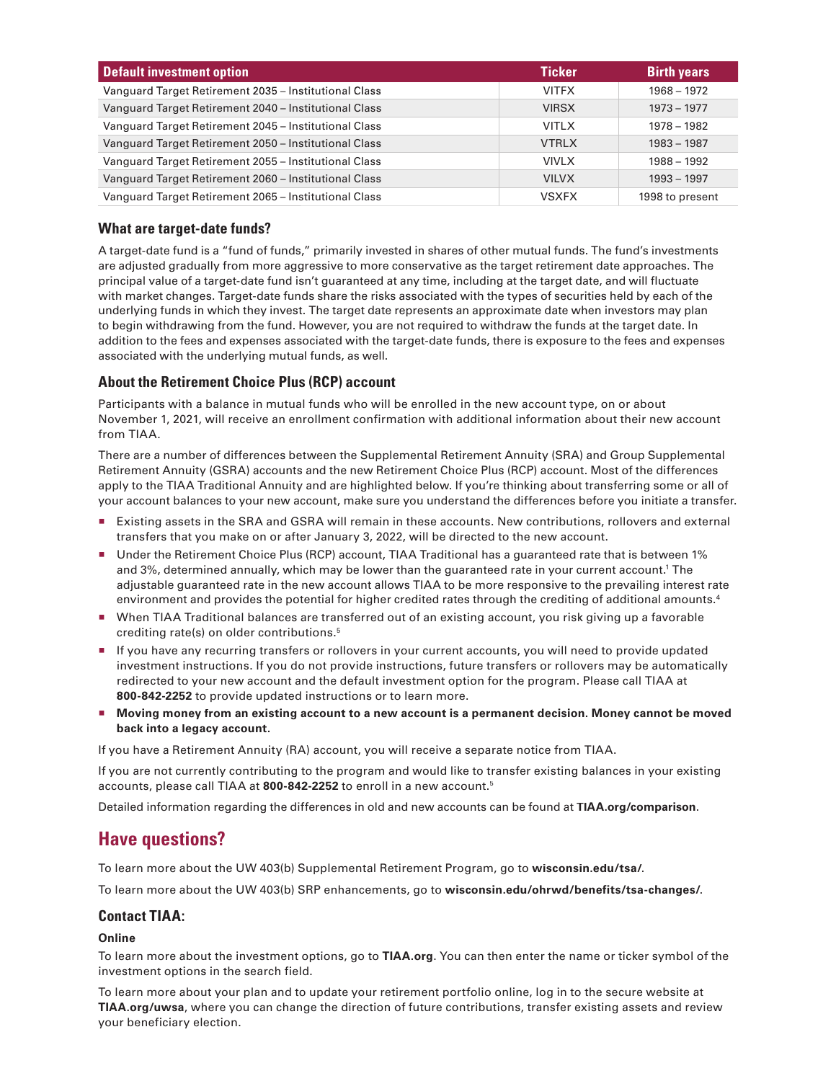| <b>Default investment option</b>                      | <b>Ticker</b> | <b>Birth years</b> |
|-------------------------------------------------------|---------------|--------------------|
| Vanguard Target Retirement 2035 - Institutional Class | <b>VITFX</b>  | $1968 - 1972$      |
| Vanguard Target Retirement 2040 - Institutional Class | <b>VIRSX</b>  | $1973 - 1977$      |
| Vanguard Target Retirement 2045 - Institutional Class | <b>VITLX</b>  | 1978 - 1982        |
| Vanguard Target Retirement 2050 - Institutional Class | <b>VTRLX</b>  | $1983 - 1987$      |
| Vanguard Target Retirement 2055 - Institutional Class | <b>VIVLX</b>  | 1988 - 1992        |
| Vanguard Target Retirement 2060 - Institutional Class | <b>VILVX</b>  | $1993 - 1997$      |
| Vanguard Target Retirement 2065 - Institutional Class | <b>VSXFX</b>  | 1998 to present    |

## **What are target-date funds?**

A target-date fund is a "fund of funds," primarily invested in shares of other mutual funds. The fund's investments are adjusted gradually from more aggressive to more conservative as the target retirement date approaches. The principal value of a target-date fund isn't guaranteed at any time, including at the target date, and will fluctuate with market changes. Target-date funds share the risks associated with the types of securities held by each of the underlying funds in which they invest. The target date represents an approximate date when investors may plan to begin withdrawing from the fund. However, you are not required to withdraw the funds at the target date. In addition to the fees and expenses associated with the target-date funds, there is exposure to the fees and expenses associated with the underlying mutual funds, as well.

## **About the Retirement Choice Plus (RCP) account**

Participants with a balance in mutual funds who will be enrolled in the new account type, on or about November 1, 2021, will receive an enrollment confirmation with additional information about their new account from TIAA.

There are a number of differences between the Supplemental Retirement Annuity (SRA) and Group Supplemental Retirement Annuity (GSRA) accounts and the new Retirement Choice Plus (RCP) account. Most of the differences apply to the TIAA Traditional Annuity and are highlighted below. If you're thinking about transferring some or all of your account balances to your new account, make sure you understand the differences before you initiate a transfer.

- Existing assets in the SRA and GSRA will remain in these accounts. New contributions, rollovers and external transfers that you make on or after January 3, 2022, will be directed to the new account.
- Under the Retirement Choice Plus (RCP) account, TIAA Traditional has a guaranteed rate that is between 1% and 3%, determined annually, which may be lower than the guaranteed rate in your current account. 1 The adjustable guaranteed rate in the new account allows TIAA to be more responsive to the prevailing interest rate environment and provides the potential for higher credited rates through the crediting of additional amounts. 4
- W When TIAA Traditional balances are transferred out of an existing account, you risk giving up a favorable crediting rate(s) on older contributions. 5
- If you have any recurring transfers or rollovers in your current accounts, you will need to provide updated investment instructions. If you do not provide instructions, future transfers or rollovers may be automatically redirected to your new account and the default investment option for the program. Please call TIAA at **800-842-2252** to provide updated instructions or to learn more.
- **Moving money from an existing account to a new account is a permanent decision. Money cannot be moved back into a legacy account.**

If you have a Retirement Annuity (RA) account, you will receive a separate notice from TIAA.

If you are not currently contributing to the program and would like to transfer existing balances in your existing accounts, please call TIAA at **800-842-2252** to enroll in a new account.5

Detailed information regarding the differences in old and new accounts can be found at **TIAA.org/comparison**.

# **Have questions?**

To learn more about the UW 403(b) Supplemental Retirement Program, go to **wisconsin.edu/tsa/**.

To learn more about the UW 403(b) SRP enhancements, go to **wisconsin.edu/ohrwd/benefits/tsa-changes/**.

## **Contact TIAA:**

#### **Online**

To learn more about the investment options, go to **TIAA.org**. You can then enter the name or ticker symbol of the investment options in the search field.

To learn more about your plan and to update your retirement portfolio online, log in to the secure website at **TIAA.org/uwsa**, where you can change the direction of future contributions, transfer existing assets and review your beneficiary election.